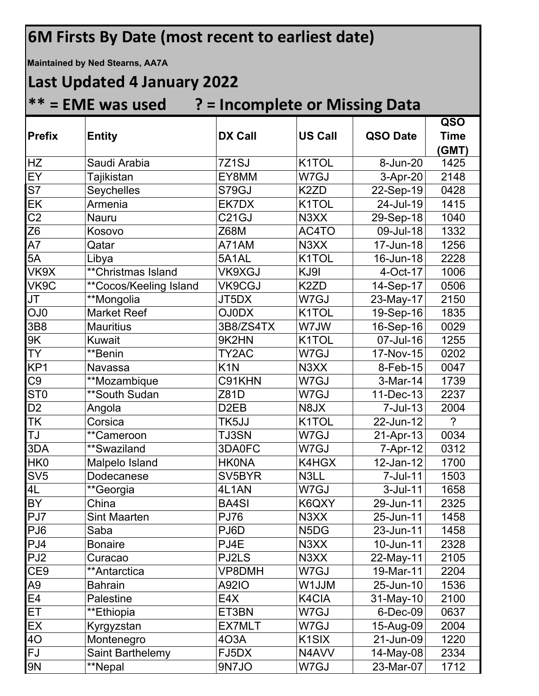## **6M Firsts By Date (most recent to earliest date) Maintained by Ned Stearns, AA7A Last Updated 4 January 2022 \*\* = EME was used ? = Incomplete or Missing Data Prefix Entity DX Call US Call QSO Date QSO Time (GMT)** HZ Saudi Arabia 7Z1SJ K1TOL 8-Jun-20 1425 EY Tajikistan EY8MM W7GJ 3-Apr-20 2148 S7 Seychelles S79GJ K2ZD 22-Sep-19 0428 EK Armenia EK7DX K1TOL 24-Jul-19 1415 C2 Nauru C21GJ N3XX 29-Sep-18 1040 Z6 Kosovo Z68M AC4TO 09-Jul-18 1332 A7 Qatar A71AM N3XX 17-Jun-18 1256 5A Libya 5A1AL K1TOL 16-Jun-18 2228 VK9X \*\*Christmas Island VK9XGJ KJ9I 4-Oct-17 1006 VK9C \*\*Cocos/Keeling Island VK9CGJ K2ZD 14-Sep-17 0506 JT \*\*Mongolia JT5DX W7GJ 23-May-17 2150 OJ0 | Market Reef | OJ0DX | K1TOL | 19-Sep-16 | 1835 3B8 Mauritius 3B8/ZS4TX W7JW 16-Sep-16 0029 9K Kuwait 9K2HN K1TOL 07-Jul-16 1255

| JI              | <b>Mongolia</b>     | JI 5DX              | VV / GJ                       | 23-May-17   | 2150           |
|-----------------|---------------------|---------------------|-------------------------------|-------------|----------------|
| OJ <sub>0</sub> | <b>Market Reef</b>  | <b>OJ0DX</b>        | K1TOL                         | 19-Sep-16   | 1835           |
| 3B8             | <b>Mauritius</b>    | 3B8/ZS4TX           | W7JW                          | 16-Sep-16   | 0029           |
| 9K              | Kuwait              | 9K2HN               | K1TOL                         | 07-Jul-16   | 1255           |
| <b>TY</b>       | **Benin             | TY2AC               | W7GJ                          | 17-Nov-15   | 0202           |
| KP <sub>1</sub> | Navassa             | K <sub>1</sub> N    | N3XX                          | 8-Feb-15    | 0047           |
| C9              | **Mozambique        | C91KHN              | W7GJ                          | 3-Mar-14    | 1739           |
| ST <sub>0</sub> | **South Sudan       | Z81D                | W7GJ                          | 11-Dec-13   | 2237           |
| D <sub>2</sub>  | Angola              | D <sub>2</sub> EB   | N8JX                          | 7-Jul-13    | 2004           |
| TK              | Corsica             | TK5JJ               | K <sub>1</sub> TOL            | 22-Jun-12   | $\overline{?}$ |
| IJ              | **Cameroon          | <b>TJ3SN</b>        | W7GJ                          | 21-Apr-13   | 0034           |
| 3DA             | **Swaziland         | 3DA0FC              | W7GJ                          | 7-Apr-12    | 0312           |
| HK0             | Malpelo Island      | <b>HK0NA</b>        | K4HGX                         | 12-Jan-12   | 1700           |
| SV5             | Dodecanese          | SV <sub>5</sub> BYR | N3LL                          | 7-Jul-11    | 1503           |
| 4L              | **Georgia           | 4L1AN               | W7GJ                          | $3$ -Jul-11 | 1658           |
| ΒY              | China               | <b>BA4SI</b>        | K6QXY                         | 29-Jun-11   | 2325           |
| PJ7             | <b>Sint Maarten</b> | <b>PJ76</b>         | N3XX                          | 25-Jun-11   | 1458           |
| PJ6             | Saba                | PJ6D                | N <sub>5</sub> D <sub>G</sub> | 23-Jun-11   | 1458           |
| PJ4             | <b>Bonaire</b>      | PJ4E                | N3XX                          | 10-Jun-11   | 2328           |
| PJ <sub>2</sub> | Curacao             | PJ2LS               | N3XX                          | 22-May-11   | 2105           |
| CE <sub>9</sub> | **Antarctica        | VP8DMH              | W7GJ                          | 19-Mar-11   | 2204           |
| А9              | <b>Bahrain</b>      | <b>A92IO</b>        | <b>WLUM</b>                   | 25-Jun-10   | 1536           |
| E4              | Palestine           | E4X                 | K4CIA                         | 31-May-10   | 2100           |
| ЕT              | **Ethiopia          | ET3BN               | W7GJ                          | 6-Dec-09    | 0637           |
| EX              | Kyrgyzstan          | <b>EX7MLT</b>       | W7GJ                          | 15-Aug-09   | 2004           |
| 40              | Montenegro          | 403A                | K <sub>1</sub> SIX            | 21-Jun-09   | 1220           |
| FJ              | Saint Barthelemy    | FJ5DX               | N4AVV                         | 14-May-08   | 2334           |
| 9N              | **Nepal             | 9N7JO               | W7GJ                          | 23-Mar-07   | 1712           |
|                 |                     |                     |                               |             |                |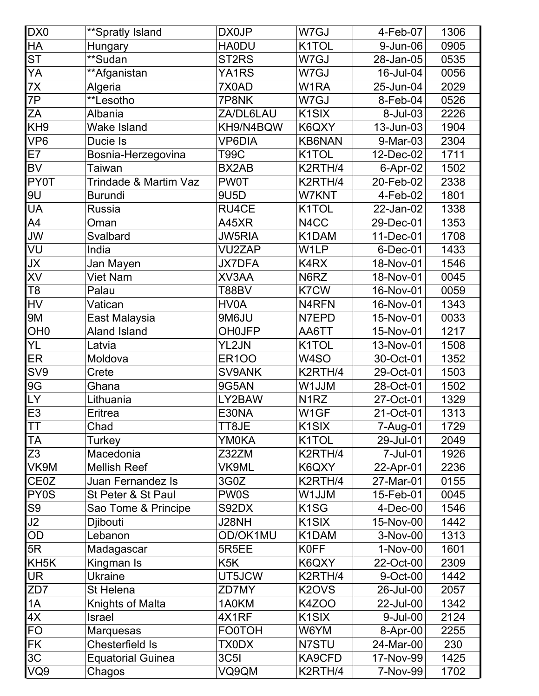| DX0               | <b>**Spratly Island</b>  | DX0JP              | W7GJ                           | 4-Feb-07   | 1306 |
|-------------------|--------------------------|--------------------|--------------------------------|------------|------|
| HA                | Hungary                  | <b>HA0DU</b>       | K1TOL                          | 9-Jun-06   | 0905 |
| S <sub>T</sub>    | **Sudan                  | ST <sub>2</sub> RS | W7GJ                           | 28-Jan-05  | 0535 |
| YA                | **Afganistan             | YA1RS              | W7GJ                           | 16-Jul-04  | 0056 |
| 7X                | Algeria                  | 7X0AD              | W1RA                           | 25-Jun-04  | 2029 |
| 7P                | **Lesotho                | 7P8NK              | W7GJ                           | 8-Feb-04   | 0526 |
| ΖA                | Albania                  | ZA/DL6LAU          | K <sub>1</sub> SIX             | 8-Jul-03   | 2226 |
| KH <sub>9</sub>   | <b>Wake Island</b>       | KH9/N4BQW          | K6QXY                          | 13-Jun-03  | 1904 |
| VP <sub>6</sub>   | Ducie Is                 | <b>VP6DIA</b>      | <b>KB6NAN</b>                  | 9-Mar-03   | 2304 |
| E7                | Bosnia-Herzegovina       | <b>T99C</b>        | K1TOL                          | 12-Dec-02  | 1711 |
| <b>BV</b>         | Taiwan                   | BX2AB              | K2RTH/4                        | 6-Apr-02   | 1502 |
| PY0T              | Trindade & Martim Vaz    | <b>PW0T</b>        | K2RTH/4                        | 20-Feb-02  | 2338 |
| 9U                | <b>Burundi</b>           | 9U5D               | <b>W7KNT</b>                   | 4-Feb-02   | 1801 |
| UA                | <b>Russia</b>            | <b>RU4CE</b>       | K1TOL                          | 22-Jan-02  | 1338 |
| A4                | Oman                     | A45XR              | N4CC                           | 29-Dec-01  | 1353 |
| JW                | Svalbard                 | <b>JW5RIA</b>      | K1DAM                          | 11-Dec-01  | 1708 |
| VU                | India                    | <b>VU2ZAP</b>      | W <sub>1</sub> LP              | 6-Dec-01   | 1433 |
| JX                | Jan Mayen                | <b>JX7DFA</b>      | K4RX                           | 18-Nov-01  | 1546 |
| XV                | <b>Viet Nam</b>          | XV3AA              | N6RZ                           | 18-Nov-01  | 0045 |
| T8                | Palau                    | T88BV              | K7CW                           | 16-Nov-01  | 0059 |
| HV                | Vatican                  | HV0A               | N4RFN                          | 16-Nov-01  | 1343 |
| 9M                | East Malaysia            | 9M6JU              | N7EPD                          | 15-Nov-01  | 0033 |
| OH <sub>0</sub>   | <b>Aland Island</b>      | <b>OH0JFP</b>      | AA6TT                          | 15-Nov-01  | 1217 |
| YL                | Latvia                   | YL2JN              | K1TOL                          | 13-Nov-01  | 1508 |
| ER                | Moldova                  | <b>ER100</b>       | W4SO                           | 30-Oct-01  | 1352 |
| SV9               | Crete                    | SV9ANK             | K2RTH/4                        | 29-Oct-01  | 1503 |
| 9G                | Ghana                    | 9G5AN              | W1JJM                          | 28-Oct-01  | 1502 |
| LY                | Lithuania                | LY2BAW             | N <sub>1</sub> RZ              | 27-Oct-01  | 1329 |
| E <sub>3</sub>    | Eritrea                  | E30NA              | W1GF                           | 21-Oct-01  | 1313 |
| ТT                | Chad                     | TT8JE              | K <sub>1</sub> SIX             | 7-Aug-01   | 1729 |
| ТA                | Turkey                   | <b>YM0KA</b>       | K1TOL                          | 29-Jul-01  | 2049 |
| Z3                | Macedonia                | Z32ZM              | K2RTH/4                        | 7-Jul-01   | 1926 |
| VK9M              | <b>Mellish Reef</b>      | <b>VK9ML</b>       | K6QXY                          | 22-Apr-01  | 2236 |
| CE0Z              | <b>Juan Fernandez Is</b> | 3G0Z               | K2RTH/4                        | 27-Mar-01  | 0155 |
| PY0S              | St Peter & St Paul       | <b>PW0S</b>        | W1JJM                          | 15-Feb-01  | 0045 |
| S9                | Sao Tome & Principe      | S92DX              | K <sub>1</sub> SG              | $4-Dec-00$ | 1546 |
| J2                | Djibouti                 | J28NH              | K <sub>1</sub> SIX             | 15-Nov-00  | 1442 |
| OD                | Lebanon                  | OD/OK1MU           | K1DAM                          | 3-Nov-00   | 1313 |
| 5R                | Madagascar               | 5R5EE              | <b>K0FF</b>                    | 1-Nov-00   | 1601 |
| KH <sub>5</sub> K | Kingman Is               | K <sub>5</sub> K   | K6QXY                          | 22-Oct-00  | 2309 |
| UR                | <b>Ukraine</b>           | UT5JCW             | K2RTH/4                        | 9-Oct-00   | 1442 |
| ZD7               | St Helena                | ZD7MY              | K <sub>2</sub> OV <sub>S</sub> | 26-Jul-00  | 2057 |
| 1A                | Knights of Malta         | 1A0KM              | <b>K4ZOO</b>                   | 22-Jul-00  | 1342 |
| 4X                | <b>Israel</b>            | 4X1RF              | K <sub>1</sub> SIX             | 9-Jul-00   | 2124 |
| FO                | Marquesas                | <b>FO0TOH</b>      | W6YM                           | 8-Apr-00   | 2255 |
| FK                | Chesterfield Is          | <b>TX0DX</b>       | N7STU                          | 24-Mar-00  | 230  |
| ЗC                | <b>Equatorial Guinea</b> | <b>3C5I</b>        | KA9CFD                         | 17-Nov-99  | 1425 |
| VQ9               | Chagos                   | VQ9QM              | K2RTH/4                        | 7-Nov-99   | 1702 |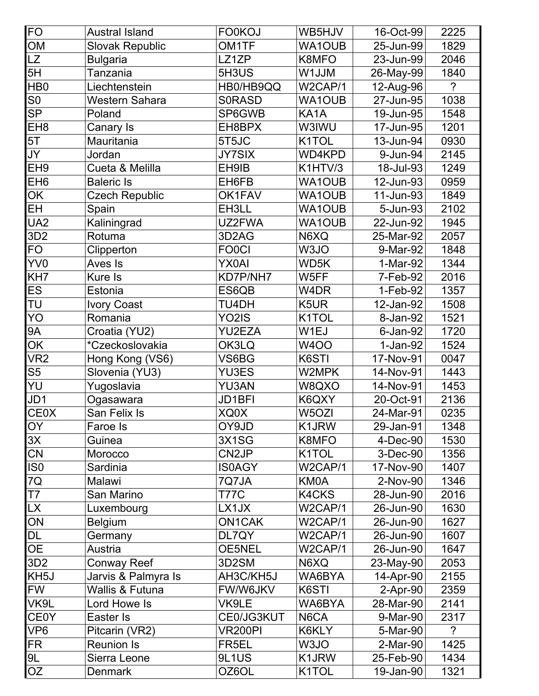| <b>FO</b>         | <b>Austral Island</b>      | <b>FO0KOJ</b>      | WB5HJV             | 16-Oct-99  | 2225           |
|-------------------|----------------------------|--------------------|--------------------|------------|----------------|
| OM                | <b>Slovak Republic</b>     | OM <sub>1</sub> TF | <b>WA1OUB</b>      | 25-Jun-99  | 1829           |
| LZ                | <b>Bulgaria</b>            | LZ1ZP              | K8MFO              | 23-Jun-99  | 2046           |
| 5H                | Tanzania                   | 5H3US              | W1JJM              | 26-May-99  | 1840           |
| HB <sub>0</sub>   | Liechtenstein              | HB0/HB9QQ          | W2CAP/1            | 12-Aug-96  | $\overline{?}$ |
| S <sub>0</sub>    | Western Sahara             | <b>SORASD</b>      | <b>WA1OUB</b>      | 27-Jun-95  | 1038           |
| <b>SP</b>         | Poland                     | SP6GWB             | KA1A               | 19-Jun-95  | 1548           |
| EH <sub>8</sub>   | Canary Is                  | EH8BPX             | W3IWU              | 17-Jun-95  | 1201           |
| 5T                | Mauritania                 | 5T5JC              | K <sub>1</sub> TOL | 13-Jun-94  | 0930           |
| JY                | Jordan                     | <b>JY7SIX</b>      | <b>WD4KPD</b>      | 9-Jun-94   | 2145           |
| EH <sub>9</sub>   | Cueta & Melilla            | EH9IB              | K1HTV/3            | 18-Jul-93  | 1249           |
| EH <sub>6</sub>   | <b>Baleric Is</b>          | EH6FB              | WA1OUB             | 12-Jun-93  | 0959           |
| OK                | <b>Czech Republic</b>      | OK1FAV             | <b>WA1OUB</b>      | 11-Jun-93  | 1849           |
| EH                | Spain                      | EH3LL              | WA1OUB             | 5-Jun-93   | 2102           |
| UA <sub>2</sub>   | Kaliningrad                | UZ2FWA             | <b>WA1OUB</b>      | 22-Jun-92  | 1945           |
| 3D <sub>2</sub>   | Rotuma                     | 3D2AG              | N6XQ               | 25-Mar-92  | 2057           |
| <b>FO</b>         | Clipperton                 | <b>FO0CI</b>       | W3JO               | 9-Mar-92   | 1848           |
| YV0               | Aves Is                    | <b>YX0AI</b>       | WD5K               | 1-Mar-92   | 1344           |
| KH7               | Kure Is                    | KD7P/NH7           | W5FF               | 7-Feb-92   | 2016           |
| ES                | Estonia                    | ES6QB              | W4DR               | 1-Feb-92   | 1357           |
| TU                | <b>Ivory Coast</b>         | TU4DH              | K <sub>5</sub> UR  | 12-Jan-92  | 1508           |
| YO                | Romania                    | YO <sub>2</sub> IS | K1TOL              | 8-Jan-92   | 1521           |
| <b>9A</b>         | Croatia (YU2)              | <b>YU2EZA</b>      | W1EJ               | 6-Jan-92   | 1720           |
| OK                | *Czeckoslovakia            | OK3LQ              | <b>W4OO</b>        | $1-Jan-92$ | 1524           |
| VR <sub>2</sub>   | Hong Kong (VS6)            | VS6BG              | K6STI              | 17-Nov-91  | 0047           |
| S <sub>5</sub>    | Slovenia (YU3)             | <b>YU3ES</b>       | W2MPK              | 14-Nov-91  | 1443           |
| YU                | Yugoslavia                 | YU3AN              | W8QXO              | 14-Nov-91  | 1453           |
| JD1               | Ogasawara                  | JD1BFI             | K6QXY              | 20-Oct-91  | 2136           |
| <b>CE0X</b>       | San Felix Is               | XQ0X               | W <sub>5</sub> OZI | 24-Mar-91  | 0235           |
| <b>OY</b>         | Faroe Is                   | OY9JD              | K1JRW              | 29-Jan-91  | 1348           |
| 3X                | Guinea                     | 3X1SG              | K8MFO              | 4-Dec-90   | 1530           |
| CN                | Morocco                    | CN <sub>2</sub> JP | K <sub>1</sub> TOL | 3-Dec-90   | 1356           |
| IS <sub>0</sub>   | Sardinia                   | <b>IS0AGY</b>      | W2CAP/1            | 17-Nov-90  | 1407           |
| 7Q                | Malawi                     | 7Q7JA              | KM0A               | 2-Nov-90   | 1346           |
| $\overline{17}$   | San Marino                 | <b>T77C</b>        | <b>K4CKS</b>       | 28-Jun-90  | 2016           |
| <b>LX</b>         | Luxembourg                 | LX1JX              | W2CAP/1            | 26-Jun-90  | 1630           |
| ON                | <b>Belgium</b>             | <b>ON1CAK</b>      | W2CAP/1            | 26-Jun-90  | 1627           |
| <b>DL</b>         | Germany                    | DL7QY              | W2CAP/1            | 26-Jun-90  | 1607           |
| <b>OE</b>         | Austria                    | OE5NEL             | W2CAP/1            | 26-Jun-90  | 1647           |
| 3D <sub>2</sub>   | <b>Conway Reef</b>         | 3D2SM              | N6XQ               | 23-May-90  | 2053           |
| KH <sub>5</sub> J | Jarvis & Palmyra Is        | AH3C/KH5J          | WA6BYA             | 14-Apr-90  | 2155           |
| <b>FW</b>         | <b>Wallis &amp; Futuna</b> | FW/W6JKV           | K6STI              | $2-Apr-90$ | 2359           |
| VK9L              | Lord Howe Is               | VK9LE              | WA6BYA             | 28-Mar-90  | 2141           |
| <b>CE0Y</b>       | Easter Is                  | CE0/JG3KUT         | N6CA               | 9-Mar-90   | 2317           |
| VP <sub>6</sub>   | Pitcarin (VR2)             | <b>VR200PI</b>     | K6KLY              | 5-Mar-90   | $\tilde{?}$    |
| FR                | <b>Reunion Is</b>          | FR5EL              | W3JO               | 2-Mar-90   | 1425           |
| 9L                | Sierra Leone               | 9L1US              | K1JRW              | 25-Feb-90  | 1434           |
| OZ                | <b>Denmark</b>             | OZ6OL              | K1TOL              | 19-Jan-90  | 1321           |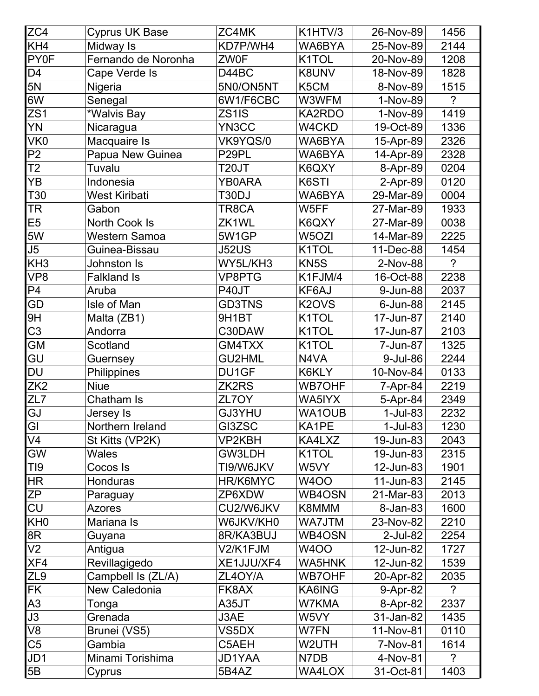| ZC4             | <b>Cyprus UK Base</b> | ZC4MK             | K1HTV/3            | 26-Nov-89  | 1456           |
|-----------------|-----------------------|-------------------|--------------------|------------|----------------|
| KH4             | Midway Is             | KD7P/WH4          | WA6BYA             | 25-Nov-89  | 2144           |
| <b>PY0F</b>     | Fernando de Noronha   | <b>ZW0F</b>       | K1TOL              | 20-Nov-89  | 1208           |
| D <sub>4</sub>  | Cape Verde Is         | D44BC             | K8UNV              | 18-Nov-89  | 1828           |
| 5N              | Nigeria               | 5N0/ON5NT         | K5CM               | 8-Nov-89   | 1515           |
| 6W              | Senegal               | 6W1/F6CBC         | W3WFM              | 1-Nov-89   | $\tilde{?}$    |
| ZS1             | *Walvis Bay           | ZS1IS             | KA2RDO             | 1-Nov-89   | 1419           |
| YN              | Nicaragua             | YN3CC             | W4CKD              | 19-Oct-89  | 1336           |
| VK <sub>0</sub> | Macquaire Is          | VK9YQS/0          | WA6BYA             | 15-Apr-89  | 2326           |
| P <sub>2</sub>  | Papua New Guinea      | P <sub>29PL</sub> | WA6BYA             | 14-Apr-89  | 2328           |
| T <sub>2</sub>  | Tuvalu                | T20JT             | K6QXY              | 8-Apr-89   | 0204           |
| YB              | Indonesia             | <b>YB0ARA</b>     | K6STI              | 2-Apr-89   | 0120           |
| T30             | <b>West Kiribati</b>  | T30DJ             | WA6BYA             | 29-Mar-89  | 0004           |
| <b>TR</b>       | Gabon                 | TR8CA             | W5FF               | 27-Mar-89  | 1933           |
| E <sub>5</sub>  | North Cook Is         | ZK1WL             | K6QXY              | 27-Mar-89  | 0038           |
| 5W              | <b>Western Samoa</b>  | 5W1GP             | W5OZI              | 14-Mar-89  | 2225           |
| J5              | Guinea-Bissau         | <b>J52US</b>      | K1TOL              | 11-Dec-88  | 1454           |
| KH <sub>3</sub> | Johnston Is           | WY5L/KH3          | KN <sub>5</sub> S  | 2-Nov-88   | $\overline{?}$ |
| VP <sub>8</sub> | <b>Falkland Is</b>    | VP8PTG            | K1FJM/4            | 16-Oct-88  | 2238           |
| P <sub>4</sub>  | Aruba                 | P40JT             | KF6AJ              | 9-Jun-88   | 2037           |
| GD              | Isle of Man           | <b>GD3TNS</b>     | K2OVS              | 6-Jun-88   | 2145           |
| 9H              | Malta (ZB1)           | 9H1BT             | K1TOL              | 17-Jun-87  | 2140           |
| C <sub>3</sub>  | Andorra               | C30DAW            | K1TOL              | 17-Jun-87  | 2103           |
| <b>GM</b>       | Scotland              | GM4TXX            | K1TOL              | 7-Jun-87   | 1325           |
| GU              | Guernsey              | <b>GU2HML</b>     | N4VA               | 9-Jul-86   | 2244           |
| <b>DU</b>       | Philippines           | DU1GF             | K6KLY              | 10-Nov-84  | 0133           |
| ZK <sub>2</sub> | <b>Niue</b>           | ZK2RS             | <b>WB7OHF</b>      | 7-Apr-84   | 2219           |
| ZL7             | Chatham Is            | ZL7OY             | WA5IYX             | 5-Apr-84   | 2349           |
| GJ              | Jersey Is             | GJ3YHU            | <b>WA1OUB</b>      | $1-Jul-83$ | 2232           |
| GI              | Northern Ireland      | GI3ZSC            | KA1PE              | $1-Jul-83$ | 1230           |
| V <sub>4</sub>  | St Kitts (VP2K)       | VP2KBH            | KA4LXZ             | 19-Jun-83  | 2043           |
| <b>GW</b>       | <b>Wales</b>          | GW3LDH            | K <sub>1</sub> TOL | 19-Jun-83  | 2315           |
| TI <sub>9</sub> | Cocos Is              | TI9/W6JKV         | W5VY               | 12-Jun-83  | 1901           |
| <b>HR</b>       | Honduras              | HR/K6MYC          | <b>W4OO</b>        | 11-Jun-83  | 2145           |
| ZP              | Paraguay              | ZP6XDW            | WB4OSN             | 21-Mar-83  | 2013           |
| <b>CU</b>       | <b>Azores</b>         | CU2/W6JKV         | K8MMM              | 8-Jan-83   | 1600           |
| KH <sub>0</sub> | Mariana Is            | W6JKV/KH0         | WA7JTM             | 23-Nov-82  | 2210           |
| 8R              | Guyana                | 8R/KA3BUJ         | WB4OSN             | 2-Jul-82   | 2254           |
| V <sub>2</sub>  | Antigua               | V2/K1FJM          | <b>W4OO</b>        | 12-Jun-82  | 1727           |
| XF4             | Revillagigedo         | XE1JJU/XF4        | WA5HNK             | 12-Jun-82  | 1539           |
| ZL <sub>9</sub> | Campbell Is (ZL/A)    | ZL4OY/A           | <b>WB7OHF</b>      | 20-Apr-82  | 2035           |
| <b>FK</b>       | New Caledonia         | FK8AX             | KA6ING             | 9-Apr-82   | $\tilde{?}$    |
| A3              | Tonga                 | A35JT             | W7KMA              | 8-Apr-82   | 2337           |
| J3              | Grenada               | J3AE              | W5VY               | 31-Jan-82  | 1435           |
| V8              | Brunei (VS5)          | VS5DX             | W7FN               | 11-Nov-81  | 0110           |
| C <sub>5</sub>  | Gambia                | C5AEH             | W2UTH              | 7-Nov-81   | 1614           |
| JD1             | Minami Torishima      | JD1YAA            | N7DB               | 4-Nov-81   | $\overline{?}$ |
| 5B              | Cyprus                | 5B4AZ             | WA4LOX             | 31-Oct-81  | 1403           |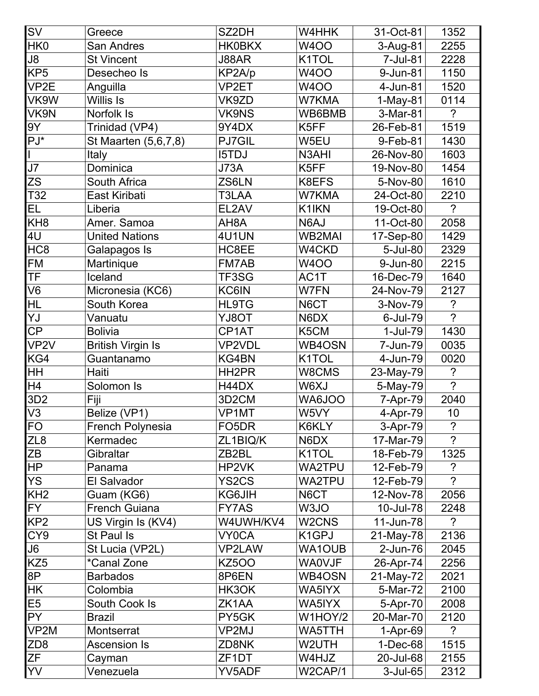| $\overline{\mathsf{SV}}$ | Greece                   | SZ2DH              | W4HHK                          | 31-Oct-81   | 1352                 |
|--------------------------|--------------------------|--------------------|--------------------------------|-------------|----------------------|
| HK0                      | <b>San Andres</b>        | <b>HK0BKX</b>      | <b>W4OO</b>                    | 3-Aug-81    | 2255                 |
| J8                       | <b>St Vincent</b>        | J88AR              | K1TOL                          | 7-Jul-81    | 2228                 |
| KP <sub>5</sub>          | Desecheo Is              | KP2A/p             | <b>W4OO</b>                    | 9-Jun-81    | 1150                 |
| VP <sub>2</sub> E        | Anguilla                 | VP2ET              | <b>W4OO</b>                    | 4-Jun-81    | 1520                 |
| VK9W                     | <b>Willis Is</b>         | VK9ZD              | W7KMA                          | 1-May-81    | 0114                 |
| VK9N                     | Norfolk Is               | <b>VK9NS</b>       | WB6BMB                         | 3-Mar-81    | $\tilde{?}$          |
| 9Y                       | Trinidad (VP4)           | 9Y4DX              | K5FF                           | 26-Feb-81   | 1519                 |
| $PJ^*$                   | St Maarten (5,6,7,8)     | <b>PJ7GIL</b>      | W5EU                           | 9-Feb-81    | 1430                 |
|                          | Italy                    | <b>I5TDJ</b>       | N3AHI                          | 26-Nov-80   | 1603                 |
| J7                       | Dominica                 | <b>J73A</b>        | K5FF                           | 19-Nov-80   | 1454                 |
| ZS                       | South Africa             | ZS6LN              | K8EFS                          | 5-Nov-80    | 1610                 |
| T32                      | East Kiribati            | T3LAA              | W7KMA                          | 24-Oct-80   | 2210                 |
| EL                       | Liberia                  | EL2AV              | K1IKN                          | 19-Oct-80   | $\overline{?}$       |
| KH <sub>8</sub>          | Amer. Samoa              | AH <sub>8</sub> A  | N6AJ                           | 11-Oct-80   | 2058                 |
| 4U                       | <b>United Nations</b>    | 4U1UN              | <b>WB2MAI</b>                  | 17-Sep-80   | 1429                 |
| HC <sub>8</sub>          | Galapagos Is             | HC8EE              | W4CKD                          | 5-Jul-80    | 2329                 |
| <b>FM</b>                | Martinique               | FM7AB              | <b>W4OO</b>                    | 9-Jun-80    | 2215                 |
| <b>TF</b>                | Iceland                  | TF3SG              | AC1T                           | 16-Dec-79   | 1640                 |
| V <sub>6</sub>           | Micronesia (KC6)         | KC6IN              | W7FN                           | 24-Nov-79   | 2127                 |
| <b>HL</b>                | South Korea              | <b>HL9TG</b>       | N6CT                           | 3-Nov-79    | $\ddot{\phantom{0}}$ |
| YJ                       | Vanuatu                  | YJ8OT              | N6DX                           | 6-Jul-79    | $\overline{?}$       |
| CP                       | <b>Bolivia</b>           | CP1AT              | K5CM                           | 1-Jul-79    | 1430                 |
| VP <sub>2</sub> V        | <b>British Virgin Is</b> | <b>VP2VDL</b>      | WB4OSN                         | 7-Jun-79    | 0035                 |
| KG4                      | Guantanamo               | KG4BN              | K <sub>1</sub> TOL             | 4-Jun-79    | 0020                 |
| $\overline{\mathsf{H}}$  | Haiti                    | HH <sub>2</sub> PR | W8CMS                          | 23-May-79   | $\ddot{\phantom{0}}$ |
| H4                       | Solomon Is               | H44DX              | W6XJ                           | 5-May-79    | $\overline{?}$       |
| 3D <sub>2</sub>          | Fiji                     | 3D <sub>2</sub> CM | WA6JOO                         | 7-Apr-79    | 2040                 |
| V <sub>3</sub>           | Belize (VP1)             | VP <sub>1</sub> MT | W5VY                           | 4-Apr-79    | 10                   |
| <b>FO</b>                | French Polynesia         | FO <sub>5</sub> DR | K6KLY                          | 3-Apr-79    | $\ddot{?}$           |
| ZL <sub>8</sub>          | Kermadec                 | ZL1BIQ/K           | N6DX                           | 17-Mar-79   | $\overline{?}$       |
| ZΒ                       | Gibraltar                | ZB <sub>2</sub> BL | K1TOL                          | 18-Feb-79   | 1325                 |
| <b>HP</b>                | Panama                   | HP2VK              | <b>WA2TPU</b>                  | 12-Feb-79   | ?                    |
| <b>YS</b>                | El Salvador              | YS <sub>2</sub> CS | <b>WA2TPU</b>                  | 12-Feb-79   | $\gamma$             |
| KH <sub>2</sub>          | Guam (KG6)               | KG6JIH             | N6CT                           | 12-Nov-78   | 2056                 |
| <b>FY</b>                | <b>French Guiana</b>     | FY7AS              | W3JO                           | 10-Jul-78   | 2248                 |
| KP <sub>2</sub>          | US Virgin Is (KV4)       | W4UWH/KV4          | W <sub>2</sub> CN <sub>S</sub> | 11-Jun-78   | $\overline{?}$       |
| CY <sub>9</sub>          | St Paul Is               | <b>VY0CA</b>       | K <sub>1</sub> GPJ             | 21-May-78   | 2136                 |
| J6                       | St Lucia (VP2L)          | <b>VP2LAW</b>      | <b>WA1OUB</b>                  | 2-Jun-76    | 2045                 |
| KZ <sub>5</sub>          | <i>*Canal Zone</i>       | <b>KZ500</b>       | <b>WA0VJF</b>                  | 26-Apr-74   | 2256                 |
| 8P                       | <b>Barbados</b>          | 8P6EN              | WB4OSN                         | 21-May-72   | 2021                 |
| <b>HK</b>                | Colombia                 | HK3OK              | WA5IYX                         | 5-Mar-72    | 2100                 |
| E <sub>5</sub>           | South Cook Is            | ZK1AA              | WA5IYX                         | 5-Apr-70    | 2008                 |
| <b>PY</b>                | <b>Brazil</b>            | PY5GK              | W1HOY/2                        | 20-Mar-70   | 2120                 |
| VP2M                     | Montserrat               | VP2MJ              | WA5TTH                         | 1-Apr-69    | ?                    |
| ZD <sub>8</sub>          | <b>Ascension Is</b>      | ZD8NK              | W2UTH                          | $1-Dec-68$  | 1515                 |
| ΖF                       | Cayman                   | ZF <sub>1</sub> DT | W4HJZ                          | 20-Jul-68   | 2155                 |
| YV                       | Venezuela                | YV5ADF             | W2CAP/1                        | $3$ -Jul-65 | 2312                 |